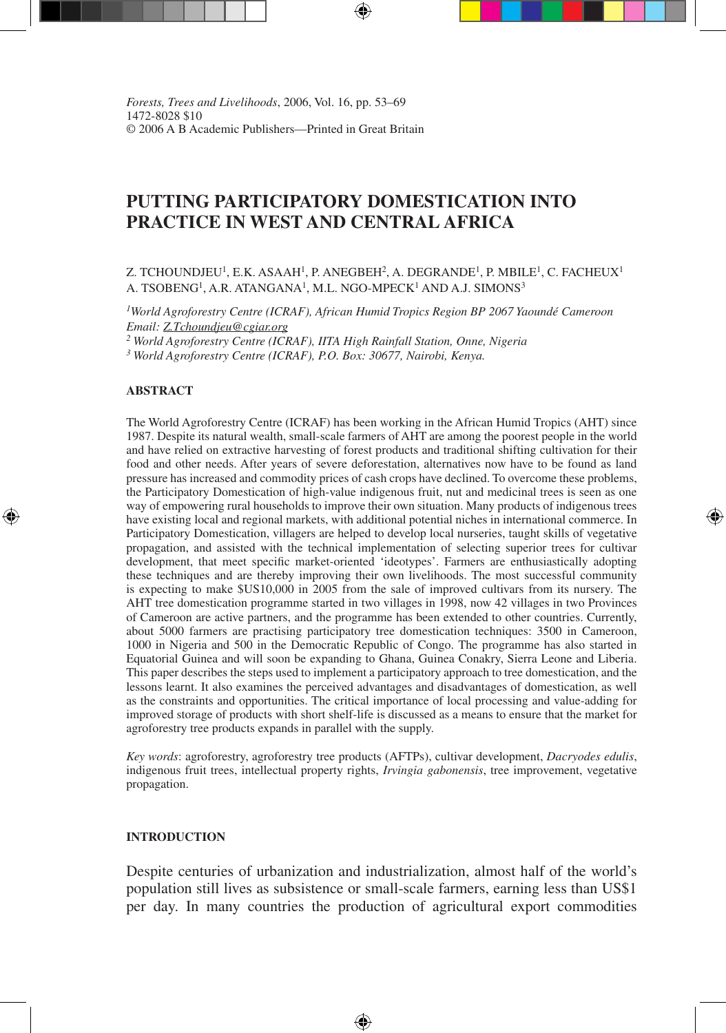*Forests, Trees and Livelihoods, 2006, Vol. 16, pp. 53–69* 1472-8028 \$10 © 2006 A B Academic Publishers—Printed in Great Britain

# **PUTTING PARTICIPATORY DOMESTICATION INTO PRACTICE IN WEST AND CENTRAL AFRICA**

Z. TCHOUNDJEU<sup>1</sup>, E.K. ASAAH<sup>1</sup>, P. ANEGBEH<sup>2</sup>, A. DEGRANDE<sup>1</sup>, P. MBILE<sup>1</sup>, C. FACHEUX<sup>1</sup> A. TSOBENG<sup>1</sup>, A.R. ATANGANA<sup>1</sup>, M.L. NGO-MPECK<sup>1</sup> AND A.J. SIMONS<sup>3</sup>

*1World Agroforestry Centre (ICRAF), African Humid Tropics Region BP 2067 Yaoundé Cameroon Email: Z.Tchoundjeu@cgiar.org*

*2 World Agroforestry Centre (ICRAF), IITA High Rainfall Station, Onne, Nigeria*

*3 World Agroforestry Centre (ICRAF), P.O. Box: 30677, Nairobi, Kenya.*

#### **ABSTRACT**

⊕

The World Agroforestry Centre (ICRAF) has been working in the African Humid Tropics (AHT) since 1987. Despite its natural wealth, small-scale farmers of AHT are among the poorest people in the world and have relied on extractive harvesting of forest products and traditional shifting cultivation for their food and other needs. After years of severe deforestation, alternatives now have to be found as land pressure has increased and commodity prices of cash crops have declined. To overcome these problems, the Participatory Domestication of high-value indigenous fruit, nut and medicinal trees is seen as one way of empowering rural households to improve their own situation. Many products of indigenous trees have existing local and regional markets, with additional potential niches in international commerce. In Participatory Domestication, villagers are helped to develop local nurseries, taught skills of vegetative propagation, and assisted with the technical implementation of selecting superior trees for cultivar development, that meet specific market-oriented 'ideotypes'. Farmers are enthusiastically adopting these techniques and are thereby improving their own livelihoods. The most successful community is expecting to make \$US10,000 in 2005 from the sale of improved cultivars from its nursery. The AHT tree domestication programme started in two villages in 1998, now 42 villages in two Provinces of Cameroon are active partners, and the programme has been extended to other countries. Currently, about 5000 farmers are practising participatory tree domestication techniques: 3500 in Cameroon, 1000 in Nigeria and 500 in the Democratic Republic of Congo. The programme has also started in Equatorial Guinea and will soon be expanding to Ghana, Guinea Conakry, Sierra Leone and Liberia. This paper describes the steps used to implement a participatory approach to tree domestication, and the lessons learnt. It also examines the perceived advantages and disadvantages of domestication, as well as the constraints and opportunities. The critical importance of local processing and value-adding for improved storage of products with short shelf-life is discussed as a means to ensure that the market for agroforestry tree products expands in parallel with the supply.

⊕

*Key words*: agroforestry, agroforestry tree products (AFTPs), cultivar development, *Dacryodes edulis*, indigenous fruit trees, intellectual property rights, *Irvingia gabonensis*, tree improvement, vegetative propagation.

#### **INTRODUCTION**

Despite centuries of urbanization and industrialization, almost half of the world's population still lives as subsistence or small-scale farmers, earning less than US\$1 per day. In many countries the production of agricultural export commodities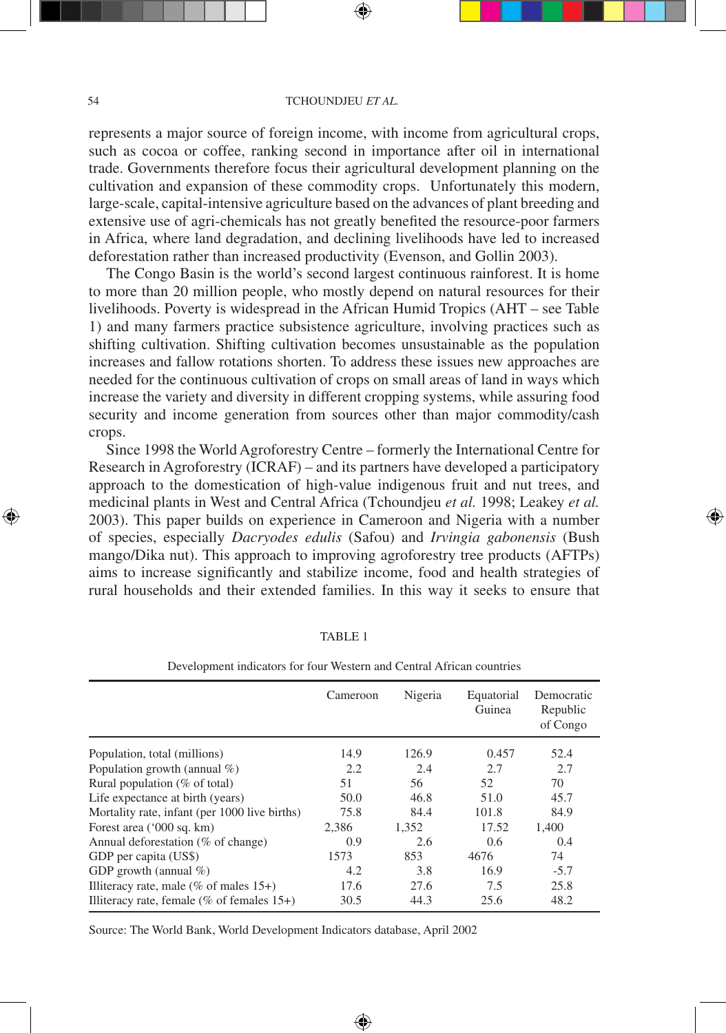represents a major source of foreign income, with income from agricultural crops, such as cocoa or coffee, ranking second in importance after oil in international trade. Governments therefore focus their agricultural development planning on the cultivation and expansion of these commodity crops. Unfortunately this modern, large-scale, capital-intensive agriculture based on the advances of plant breeding and extensive use of agri-chemicals has not greatly benefited the resource-poor farmers in Africa, where land degradation, and declining livelihoods have led to increased deforestation rather than increased productivity (Evenson, and Gollin 2003).

The Congo Basin is the world's second largest continuous rainforest. It is home to more than 20 million people, who mostly depend on natural resources for their livelihoods. Poverty is widespread in the African Humid Tropics (AHT – see Table 1) and many farmers practice subsistence agriculture, involving practices such as shifting cultivation. Shifting cultivation becomes unsustainable as the population increases and fallow rotations shorten. To address these issues new approaches are needed for the continuous cultivation of crops on small areas of land in ways which increase the variety and diversity in different cropping systems, while assuring food security and income generation from sources other than major commodity/cash crops.

Since 1998 the World Agroforestry Centre – formerly the International Centre for Research in Agroforestry (ICRAF) – and its partners have developed a participatory approach to the domestication of high-value indigenous fruit and nut trees, and medicinal plants in West and Central Africa (Tchoundjeu *et al.* 1998; Leakey *et al.* 2003). This paper builds on experience in Cameroon and Nigeria with a number of species, especially *Dacryodes edulis* (Safou) and *Irvingia gabonensis* (Bush mango/Dika nut). This approach to improving agroforestry tree products (AFTPs) aims to increase significantly and stabilize income, food and health strategies of rural households and their extended families. In this way it seeks to ensure that

⊕

|                                                | Cameroon | Nigeria | Equatorial<br>Guinea | Democratic<br>Republic<br>of Congo |
|------------------------------------------------|----------|---------|----------------------|------------------------------------|
| Population, total (millions)                   | 14.9     | 126.9   | 0.457                | 52.4                               |
| Population growth (annual $\%$ )               | 2.2      | 2.4     | 2.7                  | 2.7                                |
| Rural population ( $\%$ of total)              | 51       | 56      | 52                   | 70                                 |
| Life expectance at birth (years)               | 50.0     | 46.8    | 51.0                 | 45.7                               |
| Mortality rate, infant (per 1000 live births)  | 75.8     | 84.4    | 101.8                | 84.9                               |
| Forest area ('000 sq. km)                      | 2.386    | 1.352   | 17.52                | 1.400                              |
| Annual deforestation (% of change)             | 0.9      | 2.6     | 0.6                  | 0.4                                |
| GDP per capita (US\$)                          | 1573     | 853     | 4676                 | 74                                 |
| GDP growth (annual $\%$ )                      | 4.2      | 3.8     | 16.9                 | $-5.7$                             |
| Illiteracy rate, male ( $\%$ of males 15+)     | 17.6     | 27.6    | 7.5                  | 25.8                               |
| Illiteracy rate, female ( $\%$ of females 15+) | 30.5     | 44.3    | 25.6                 | 48.2                               |

⊕

#### TABLE 1

## Development indicators for four Western and Central African countries

Source: The World Bank, World Development Indicators database, April 2002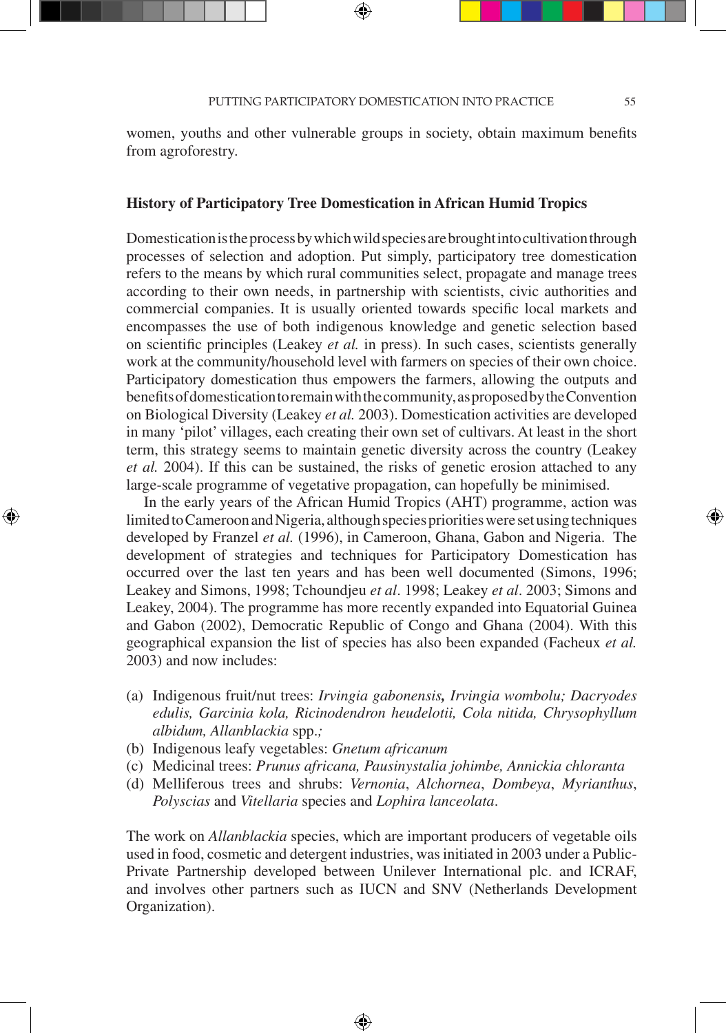⊕

women, youths and other vulnerable groups in society, obtain maximum benefits from agroforestry.

## **History of Participatory Tree Domestication in African Humid Tropics**

Domestication is the process by which wild species are brought into cultivation through processes of selection and adoption. Put simply, participatory tree domestication refers to the means by which rural communities select, propagate and manage trees according to their own needs, in partnership with scientists, civic authorities and commercial companies. It is usually oriented towards specific local markets and encompasses the use of both indigenous knowledge and genetic selection based on scientific principles (Leakey *et al.* in press). In such cases, scientists generally work at the community/household level with farmers on species of their own choice. Participatory domestication thus empowers the farmers, allowing the outputs and benefits of domestication to remain with the community, as proposed by the Convention on Biological Diversity (Leakey *et al.* 2003). Domestication activities are developed in many 'pilot' villages, each creating their own set of cultivars. At least in the short term, this strategy seems to maintain genetic diversity across the country (Leakey *et al.* 2004). If this can be sustained, the risks of genetic erosion attached to any large-scale programme of vegetative propagation, can hopefully be minimised.

In the early years of the African Humid Tropics (AHT) programme, action was limited to Cameroon and Nigeria, although species priorities were set using techniques developed by Franzel *et al.* (1996), in Cameroon, Ghana, Gabon and Nigeria. The development of strategies and techniques for Participatory Domestication has occurred over the last ten years and has been well documented (Simons, 1996; Leakey and Simons, 1998; Tchoundjeu *et al*. 1998; Leakey *et al*. 2003; Simons and Leakey, 2004). The programme has more recently expanded into Equatorial Guinea and Gabon (2002), Democratic Republic of Congo and Ghana (2004). With this geographical expansion the list of species has also been expanded (Facheux *et al.* 2003) and now includes:

- (a) Indigenous fruit/nut trees: *Irvingia gabonensis, Irvingia wombolu; Dacryodes edulis, Garcinia kola, Ricinodendron heudelotii, Cola nitida, Chrysophyllum albidum, Allanblackia* spp.*;*
- (b) Indigenous leafy vegetables: *Gnetum africanum*

⊕

- (c)Medicinal trees: *Prunus africana, Pausinystalia johimbe, Annickia chloranta*
- (d)Melliferous trees and shrubs: *Vernonia*, *Alchornea*, *Dombeya*, *Myrianthus*, *Polyscias* and *Vitellaria* species and *Lophira lanceolata*.

The work on *Allanblackia* species, which are important producers of vegetable oils used in food, cosmetic and detergent industries, was initiated in 2003 under a Public-Private Partnership developed between Unilever International plc. and ICRAF, and involves other partners such as IUCN and SNV (Netherlands Development Organization).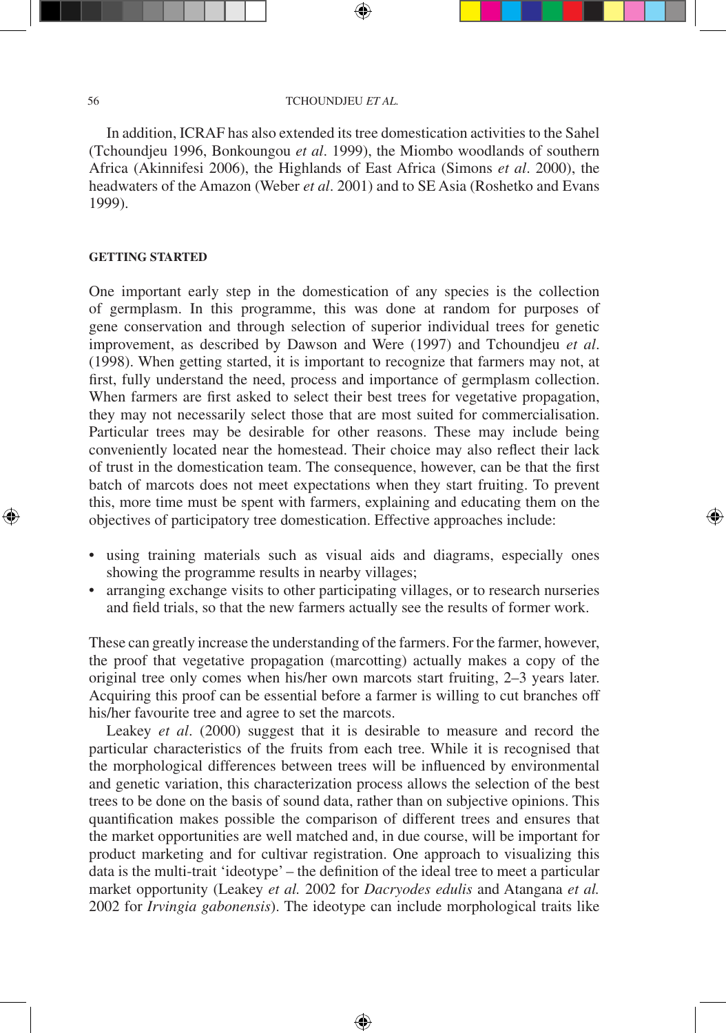In addition, ICRAF has also extended its tree domestication activities to the Sahel (Tchoundjeu 1996, Bonkoungou *et al*. 1999), the Miombo woodlands of southern Africa (Akinnifesi 2006), the Highlands of East Africa (Simons *et al*. 2000), the headwaters of the Amazon (Weber *et al*. 2001) and to SE Asia (Roshetko and Evans 1999).

## **GETTING STARTED**

One important early step in the domestication of any species is the collection of germplasm. In this programme, this was done at random for purposes of gene conservation and through selection of superior individual trees for genetic improvement, as described by Dawson and Were (1997) and Tchoundjeu *et al*. (1998). When getting started, it is important to recognize that farmers may not, at first, fully understand the need, process and importance of germplasm collection. When farmers are first asked to select their best trees for vegetative propagation, they may not necessarily select those that are most suited for commercialisation. Particular trees may be desirable for other reasons. These may include being conveniently located near the homestead. Their choice may also reflect their lack of trust in the domestication team. The consequence, however, can be that the first batch of marcots does not meet expectations when they start fruiting. To prevent this, more time must be spent with farmers, explaining and educating them on the objectives of participatory tree domestication. Effective approaches include:

• using training materials such as visual aids and diagrams, especially ones showing the programme results in nearby villages;

⊕

• arranging exchange visits to other participating villages, or to research nurseries and field trials, so that the new farmers actually see the results of former work.

These can greatly increase the understanding of the farmers. For the farmer, however, the proof that vegetative propagation (marcotting) actually makes a copy of the original tree only comes when his/her own marcots start fruiting, 2–3 years later. Acquiring this proof can be essential before a farmer is willing to cut branches off his/her favourite tree and agree to set the marcots.

Leakey *et al*. (2000) suggest that it is desirable to measure and record the particular characteristics of the fruits from each tree. While it is recognised that the morphological differences between trees will be influenced by environmental and genetic variation, this characterization process allows the selection of the best trees to be done on the basis of sound data, rather than on subjective opinions. This quantification makes possible the comparison of different trees and ensures that the market opportunities are well matched and, in due course, will be important for product marketing and for cultivar registration. One approach to visualizing this data is the multi-trait 'ideotype' – the definition of the ideal tree to meet a particular market opportunity (Leakey *et al.* 2002 for *Dacryodes edulis* and Atangana *et al.* 2002 for *Irvingia gabonensis*). The ideotype can include morphological traits like

⊕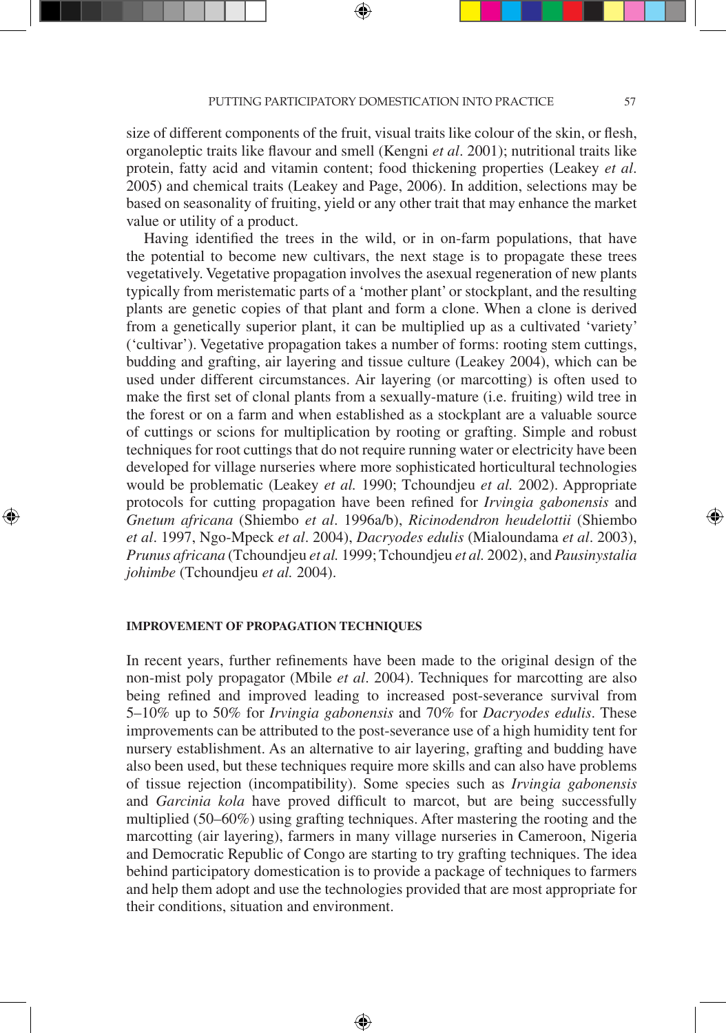PUTTING PARTICIPATORY DOMESTICATION INTO PRACTICE 57

size of different components of the fruit, visual traits like colour of the skin, or flesh, organoleptic traits like flavour and smell (Kengni *et al*. 2001); nutritional traits like protein, fatty acid and vitamin content; food thickening properties (Leakey *et al*. 2005) and chemical traits (Leakey and Page, 2006). In addition, selections may be based on seasonality of fruiting, yield or any other trait that may enhance the market value or utility of a product.

Having identified the trees in the wild, or in on-farm populations, that have the potential to become new cultivars, the next stage is to propagate these trees vegetatively. Vegetative propagation involves the asexual regeneration of new plants typically from meristematic parts of a 'mother plant' or stockplant, and the resulting plants are genetic copies of that plant and form a clone. When a clone is derived from a genetically superior plant, it can be multiplied up as a cultivated 'variety' ('cultivar'). Vegetative propagation takes a number of forms: rooting stem cuttings, budding and grafting, air layering and tissue culture (Leakey 2004), which can be used under different circumstances. Air layering (or marcotting) is often used to make the first set of clonal plants from a sexually-mature (i.e. fruiting) wild tree in the forest or on a farm and when established as a stockplant are a valuable source of cuttings or scions for multiplication by rooting or grafting. Simple and robust techniques for root cuttings that do not require running water or electricity have been developed for village nurseries where more sophisticated horticultural technologies would be problematic (Leakey *et al.* 1990; Tchoundjeu *et al.* 2002). Appropriate protocols for cutting propagation have been refined for *Irvingia gabonensis* and *Gnetum africana* (Shiembo *et al*. 1996a/b), *Ricinodendron heudelottii* (Shiembo *et al*. 1997, Ngo-Mpeck *et al*. 2004), *Dacryodes edulis* (Mialoundama *et al*. 2003), *Prunus africana* (Tchoundjeu *et al.* 1999; Tchoundjeu *et al.* 2002), and *Pausinystalia johimbe* (Tchoundjeu *et al.* 2004).

#### **IMPROVEMENT OF PROPAGATION TECHNIQUES**

⊕

In recent years, further refinements have been made to the original design of the non-mist poly propagator (Mbile *et al*. 2004). Techniques for marcotting are also being refined and improved leading to increased post-severance survival from 5–10% up to 50% for *Irvingia gabonensis* and 70% for *Dacryodes edulis*. These improvements can be attributed to the post-severance use of a high humidity tent for nursery establishment. As an alternative to air layering, grafting and budding have also been used, but these techniques require more skills and can also have problems of tissue rejection (incompatibility). Some species such as *Irvingia gabonensis* and *Garcinia kola* have proved difficult to marcot, but are being successfully multiplied (50–60%) using grafting techniques. After mastering the rooting and the marcotting (air layering), farmers in many village nurseries in Cameroon, Nigeria and Democratic Republic of Congo are starting to try grafting techniques. The idea behind participatory domestication is to provide a package of techniques to farmers and help them adopt and use the technologies provided that are most appropriate for their conditions, situation and environment.

⊕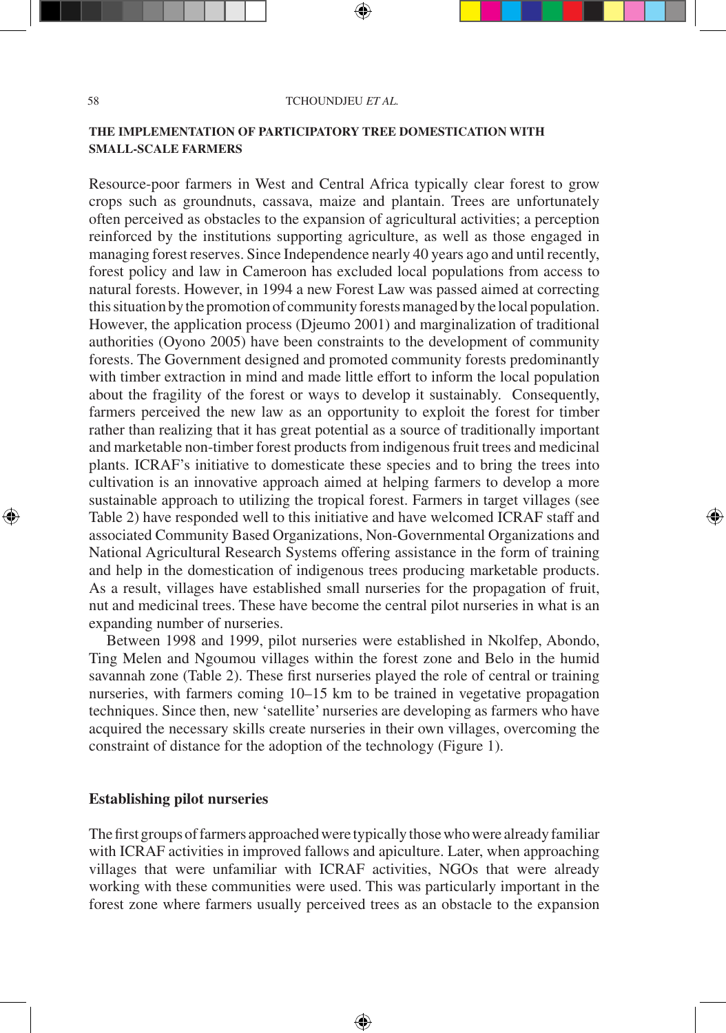## **THE IMPLEMENTATION OF PARTICIPATORY TREE DOMESTICATION WITH SMALL-SCALE FARMERS**

Resource-poor farmers in West and Central Africa typically clear forest to grow crops such as groundnuts, cassava, maize and plantain. Trees are unfortunately often perceived as obstacles to the expansion of agricultural activities; a perception reinforced by the institutions supporting agriculture, as well as those engaged in managing forest reserves. Since Independence nearly 40 years ago and until recently, forest policy and law in Cameroon has excluded local populations from access to natural forests. However, in 1994 a new Forest Law was passed aimed at correcting this situation by the promotion of community forests managed by the local population. However, the application process (Djeumo 2001) and marginalization of traditional authorities (Oyono 2005) have been constraints to the development of community forests. The Government designed and promoted community forests predominantly with timber extraction in mind and made little effort to inform the local population about the fragility of the forest or ways to develop it sustainably. Consequently, farmers perceived the new law as an opportunity to exploit the forest for timber rather than realizing that it has great potential as a source of traditionally important and marketable non-timber forest products from indigenous fruit trees and medicinal plants. ICRAF's initiative to domesticate these species and to bring the trees into cultivation is an innovative approach aimed at helping farmers to develop a more sustainable approach to utilizing the tropical forest. Farmers in target villages (see Table 2) have responded well to this initiative and have welcomed ICRAF staff and associated Community Based Organizations, Non-Governmental Organizations and National Agricultural Research Systems offering assistance in the form of training and help in the domestication of indigenous trees producing marketable products. As a result, villages have established small nurseries for the propagation of fruit, nut and medicinal trees. These have become the central pilot nurseries in what is an expanding number of nurseries.

⊕

Between 1998 and 1999, pilot nurseries were established in Nkolfep, Abondo, Ting Melen and Ngoumou villages within the forest zone and Belo in the humid savannah zone (Table 2). These first nurseries played the role of central or training nurseries, with farmers coming 10–15 km to be trained in vegetative propagation techniques. Since then, new 'satellite' nurseries are developing as farmers who have acquired the necessary skills create nurseries in their own villages, overcoming the constraint of distance for the adoption of the technology (Figure 1).

## **Establishing pilot nurseries**

The first groups of farmers approached were typically those who were already familiar with ICRAF activities in improved fallows and apiculture. Later, when approaching villages that were unfamiliar with ICRAF activities, NGOs that were already working with these communities were used. This was particularly important in the forest zone where farmers usually perceived trees as an obstacle to the expansion

⊕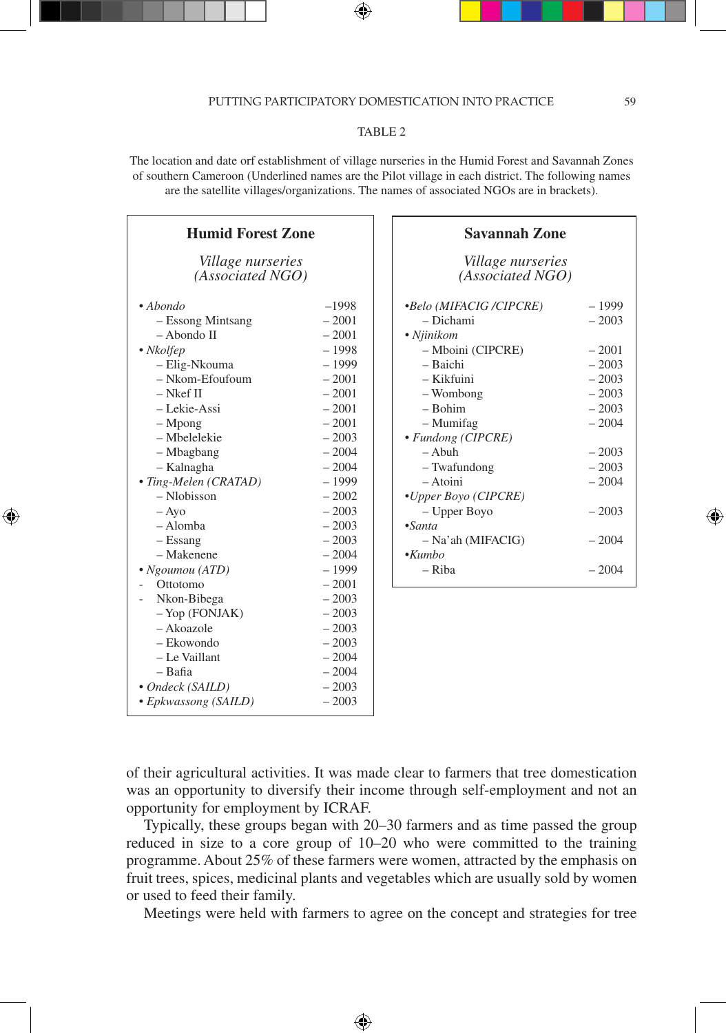## PUTTING PARTICIPATORY DOMESTICATION INTO PRACTICE 59

## TABLE 2

The location and date orf establishment of village nurseries in the Humid Forest and Savannah Zones of southern Cameroon (Underlined names are the Pilot village in each district. The following names are the satellite villages/organizations. The names of associated NGOs are in brackets).

| <b>Humid Forest Zone</b>                                                                                                                                                                                                                                                                                                                                                                                                                    |                                                                                                                                                                                                                                                                                                       |
|---------------------------------------------------------------------------------------------------------------------------------------------------------------------------------------------------------------------------------------------------------------------------------------------------------------------------------------------------------------------------------------------------------------------------------------------|-------------------------------------------------------------------------------------------------------------------------------------------------------------------------------------------------------------------------------------------------------------------------------------------------------|
| <i>Village nurseries</i><br>(Associated NGO)                                                                                                                                                                                                                                                                                                                                                                                                |                                                                                                                                                                                                                                                                                                       |
| $\bullet$ Abondo<br>- Essong Mintsang<br>$-$ Abondo II<br>• Nkolfep<br>- Elig-Nkouma<br>$-$ Nkom-Efoufoum<br>$-$ Nkef II<br>- Lekie-Assi<br>$-Mpong$<br>- Mbelelekie<br>- Mbagbang<br>- Kalnagha<br>• Ting-Melen (CRATAD)<br>- Nlobisson<br>$-$ Ayo<br>- Alomba<br>$-$ Essang<br>- Makenene<br>· Ngoumou (ATD)<br>Ottotomo<br>Nkon-Bibega<br>$-$ Yop (FONJAK)<br>- Akoazole<br>- Ekowondo<br>- Le Vaillant<br>$-$ Bafia<br>• Ondeck (SAILD) | $-1998$<br>$-2001$<br>$-2001$<br>$-1998$<br>$-1999$<br>$-2001$<br>$-2001$<br>$-2001$<br>$-2001$<br>$-2003$<br>$-2004$<br>$-2004$<br>$-1999$<br>$-2002$<br>$-2003$<br>$-2003$<br>$-2003$<br>$-2004$<br>$-1999$<br>$-2001$<br>$-2003$<br>$-2003$<br>$-2003$<br>$-2003$<br>$-2004$<br>$-2004$<br>$-2003$ |
| • Epkwassong (SAILD)                                                                                                                                                                                                                                                                                                                                                                                                                        | $-2003$                                                                                                                                                                                                                                                                                               |

⊕

| <b>Savannah Zone</b>                         |         |  |  |  |
|----------------------------------------------|---------|--|--|--|
| <i>Village nurseries</i><br>(Associated NGO) |         |  |  |  |
| <i>•Belo (MIFACIG /CIPCRE)</i>               | - 1999  |  |  |  |
| – Dichami                                    | $-2003$ |  |  |  |
| • Njinikom                                   |         |  |  |  |
| - Mboini (CIPCRE)                            | $-2001$ |  |  |  |
| – Baichi                                     | $-2003$ |  |  |  |
| – Kikfuini                                   | $-2003$ |  |  |  |
| - Wombong                                    | $-2003$ |  |  |  |
| $-$ Bohim                                    | $-2003$ |  |  |  |
| – Mumifag                                    | $-2004$ |  |  |  |
| · Fundong (CIPCRE)                           |         |  |  |  |
| $-$ A buh                                    | $-2003$ |  |  |  |
| - Twafundong                                 | $-2003$ |  |  |  |
| $-$ Atoini                                   | $-2004$ |  |  |  |
| •Upper Boyo (CIPCRE)                         |         |  |  |  |
| - Upper Boyo                                 | $-2003$ |  |  |  |
| $\cdot$ Santa                                |         |  |  |  |
| - Na'ah (MIFACIG)                            | $-2004$ |  |  |  |
| $\cdot$ Kumbo                                |         |  |  |  |
| – Riba                                       | $-2004$ |  |  |  |
|                                              |         |  |  |  |

of their agricultural activities. It was made clear to farmers that tree domestication was an opportunity to diversify their income through self-employment and not an opportunity for employment by ICRAF.

Typically, these groups began with 20–30 farmers and as time passed the group reduced in size to a core group of 10–20 who were committed to the training programme. About 25% of these farmers were women, attracted by the emphasis on fruit trees, spices, medicinal plants and vegetables which are usually sold by women or used to feed their family.

Meetings were held with farmers to agree on the concept and strategies for tree

♠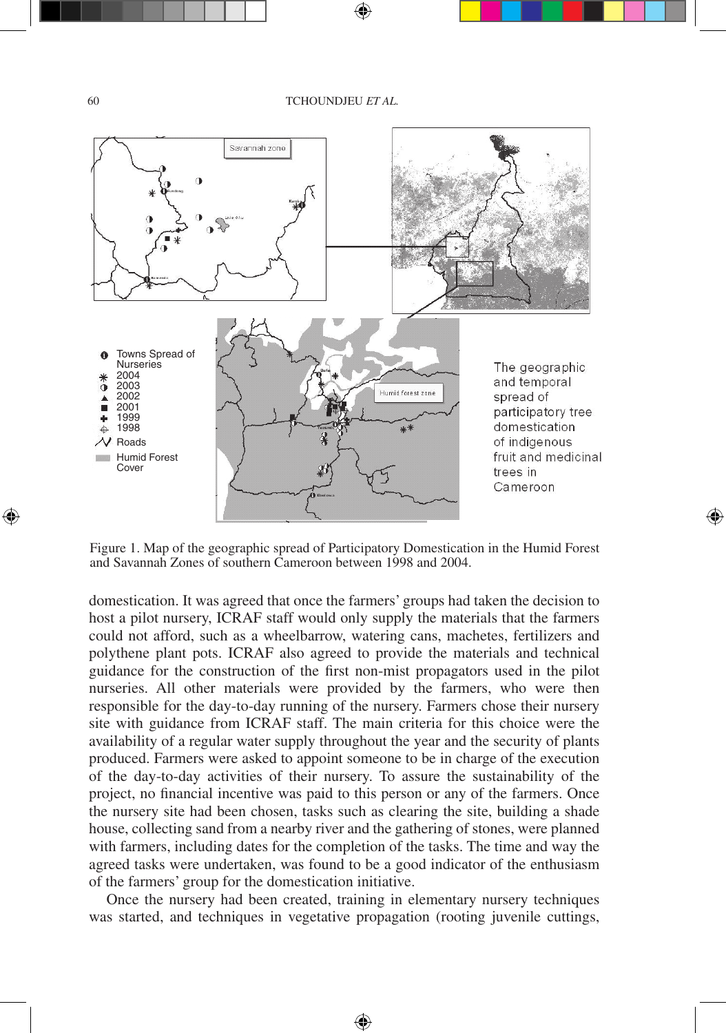

Figure 1. Map of the geographic spread of Participatory Domestication in the Humid Forest and Savannah Zones of southern Cameroon between 1998 and 2004.

⊕

domestication. It was agreed that once the farmers' groups had taken the decision to host a pilot nursery, ICRAF staff would only supply the materials that the farmers could not afford, such as a wheelbarrow, watering cans, machetes, fertilizers and polythene plant pots. ICRAF also agreed to provide the materials and technical guidance for the construction of the first non-mist propagators used in the pilot nurseries. All other materials were provided by the farmers, who were then responsible for the day-to-day running of the nursery. Farmers chose their nursery site with guidance from ICRAF staff. The main criteria for this choice were the availability of a regular water supply throughout the year and the security of plants produced. Farmers were asked to appoint someone to be in charge of the execution of the day-to-day activities of their nursery. To assure the sustainability of the project, no financial incentive was paid to this person or any of the farmers. Once the nursery site had been chosen, tasks such as clearing the site, building a shade house, collecting sand from a nearby river and the gathering of stones, were planned with farmers, including dates for the completion of the tasks. The time and way the agreed tasks were undertaken, was found to be a good indicator of the enthusiasm of the farmers' group for the domestication initiative.

Once the nursery had been created, training in elementary nursery techniques was started, and techniques in vegetative propagation (rooting juvenile cuttings,

⊕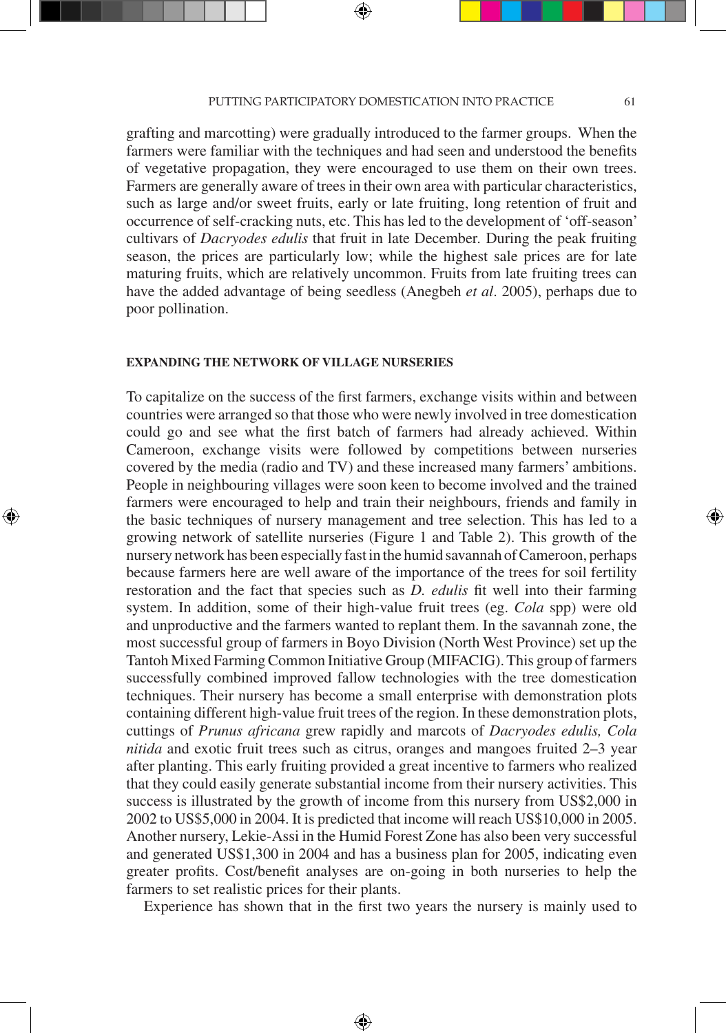#### PUTTING PARTICIPATORY DOMESTICATION INTO PRACTICE 61

grafting and marcotting) were gradually introduced to the farmer groups. When the farmers were familiar with the techniques and had seen and understood the benefits of vegetative propagation, they were encouraged to use them on their own trees. Farmers are generally aware of trees in their own area with particular characteristics, such as large and/or sweet fruits, early or late fruiting, long retention of fruit and occurrence of self-cracking nuts, etc. This has led to the development of 'off-season' cultivars of *Dacryodes edulis* that fruit in late December*.* During the peak fruiting season, the prices are particularly low; while the highest sale prices are for late maturing fruits, which are relatively uncommon. Fruits from late fruiting trees can have the added advantage of being seedless (Anegbeh *et al*. 2005), perhaps due to poor pollination.

## **EXPANDING THE NETWORK OF VILLAGE NURSERIES**

⊕

To capitalize on the success of the first farmers, exchange visits within and between countries were arranged so that those who were newly involved in tree domestication could go and see what the first batch of farmers had already achieved. Within Cameroon, exchange visits were followed by competitions between nurseries covered by the media (radio and TV) and these increased many farmers' ambitions. People in neighbouring villages were soon keen to become involved and the trained farmers were encouraged to help and train their neighbours, friends and family in the basic techniques of nursery management and tree selection. This has led to a growing network of satellite nurseries (Figure 1 and Table 2). This growth of the nursery network has been especially fast in the humid savannah of Cameroon, perhaps because farmers here are well aware of the importance of the trees for soil fertility restoration and the fact that species such as *D. edulis* fit well into their farming system. In addition, some of their high-value fruit trees (eg. *Cola* spp) were old and unproductive and the farmers wanted to replant them. In the savannah zone, the most successful group of farmers in Boyo Division (North West Province) set up the Tantoh Mixed Farming Common Initiative Group (MIFACIG). This group of farmers successfully combined improved fallow technologies with the tree domestication techniques. Their nursery has become a small enterprise with demonstration plots containing different high-value fruit trees of the region. In these demonstration plots, cuttings of *Prunus africana* grew rapidly and marcots of *Dacryodes edulis, Cola nitida* and exotic fruit trees such as citrus, oranges and mangoes fruited 2–3 year after planting. This early fruiting provided a great incentive to farmers who realized that they could easily generate substantial income from their nursery activities. This success is illustrated by the growth of income from this nursery from US\$2,000 in 2002 to US\$5,000 in 2004. It is predicted that income will reach US\$10,000 in 2005. Another nursery, Lekie-Assi in the Humid Forest Zone has also been very successful and generated US\$1,300 in 2004 and has a business plan for 2005, indicating even greater profits. Cost/benefit analyses are on-going in both nurseries to help the farmers to set realistic prices for their plants.

Experience has shown that in the first two years the nursery is mainly used to

⊕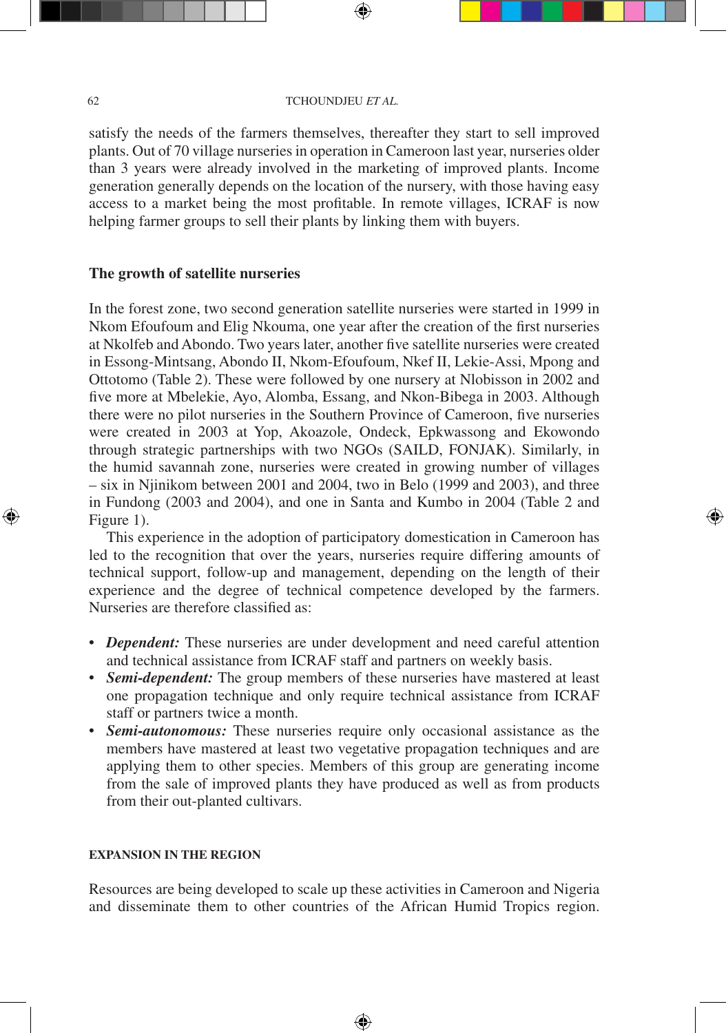satisfy the needs of the farmers themselves, thereafter they start to sell improved plants. Out of 70 village nurseries in operation in Cameroon last year, nurseries older than 3 years were already involved in the marketing of improved plants. Income generation generally depends on the location of the nursery, with those having easy access to a market being the most profitable. In remote villages, ICRAF is now helping farmer groups to sell their plants by linking them with buyers.

## **The growth of satellite nurseries**

In the forest zone, two second generation satellite nurseries were started in 1999 in Nkom Efoufoum and Elig Nkouma, one year after the creation of the first nurseries at Nkolfeb and Abondo. Two years later, another five satellite nurseries were created in Essong-Mintsang, Abondo II, Nkom-Efoufoum, Nkef II, Lekie-Assi, Mpong and Ottotomo (Table 2). These were followed by one nursery at Nlobisson in 2002 and five more at Mbelekie, Ayo, Alomba, Essang, and Nkon-Bibega in 2003. Although there were no pilot nurseries in the Southern Province of Cameroon, five nurseries were created in 2003 at Yop, Akoazole, Ondeck, Epkwassong and Ekowondo through strategic partnerships with two NGOs (SAILD, FONJAK). Similarly, in the humid savannah zone, nurseries were created in growing number of villages – six in Njinikom between 2001 and 2004, two in Belo (1999 and 2003), and three in Fundong (2003 and 2004), and one in Santa and Kumbo in 2004 (Table 2 and Figure 1).

This experience in the adoption of participatory domestication in Cameroon has led to the recognition that over the years, nurseries require differing amounts of technical support, follow-up and management, depending on the length of their experience and the degree of technical competence developed by the farmers. Nurseries are therefore classified as:

⊕

- *Dependent:* These nurseries are under development and need careful attention and technical assistance from ICRAF staff and partners on weekly basis.
- *Semi-dependent:* The group members of these nurseries have mastered at least one propagation technique and only require technical assistance from ICRAF staff or partners twice a month.
- *Semi-autonomous:* These nurseries require only occasional assistance as the members have mastered at least two vegetative propagation techniques and are applying them to other species. Members of this group are generating income from the sale of improved plants they have produced as well as from products from their out-planted cultivars.

#### **EXPANSION IN THE REGION**

Resources are being developed to scale up these activities in Cameroon and Nigeria and disseminate them to other countries of the African Humid Tropics region.

⊕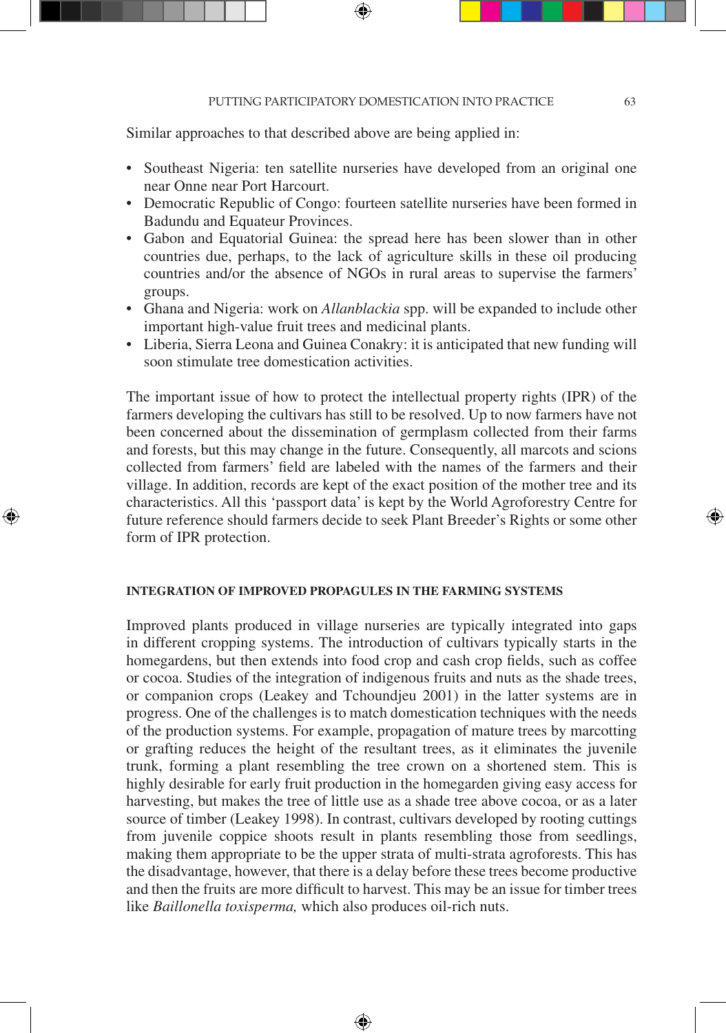Similar approaches to that described above are being applied in:

- Southeast Nigeria: ten satellite nurseries have developed from an original one near Onne near Port Harcourt.
- Democratic Republic of Congo: fourteen satellite nurseries have been formed in Badundu and Equateur Provinces.
- Gabon and Equatorial Guinea: the spread here has been slower than in other countries due, perhaps, to the lack of agriculture skills in these oil producing countries and/or the absence of NGOs in rural areas to supervise the farmers' groups.
- Ghana and Nigeria: work on *Allanblackia* spp. will be expanded to include other important high-value fruit trees and medicinal plants.
- Liberia, Sierra Leona and Guinea Conakry: it is anticipated that new funding will soon stimulate tree domestication activities.

The important issue of how to protect the intellectual property rights (IPR) of the farmers developing the cultivars has still to be resolved. Up to now farmers have not been concerned about the dissemination of germplasm collected from their farms and forests, but this may change in the future. Consequently, all marcots and scions collected from farmers' field are labeled with the names of the farmers and their village. In addition, records are kept of the exact position of the mother tree and its characteristics. All this 'passport data' is kept by the World Agroforestry Centre for future reference should farmers decide to seek Plant Breeder's Rights or some other form of IPR protection.

## **INTEGRATION OF IMPROVED PROPAGULES IN THE FARMING SYSTEMS**

⊕

Improved plants produced in village nurseries are typically integrated into gaps in different cropping systems. The introduction of cultivars typically starts in the homegardens, but then extends into food crop and cash crop fields, such as coffee or cocoa. Studies of the integration of indigenous fruits and nuts as the shade trees, or companion crops (Leakey and Tchoundjeu 2001) in the latter systems are in progress. One of the challenges is to match domestication techniques with the needs of the production systems. For example, propagation of mature trees by marcotting or grafting reduces the height of the resultant trees, as it eliminates the juvenile trunk, forming a plant resembling the tree crown on a shortened stem. This is highly desirable for early fruit production in the homegarden giving easy access for harvesting, but makes the tree of little use as a shade tree above cocoa, or as a later source of timber (Leakey 1998). In contrast, cultivars developed by rooting cuttings from juvenile coppice shoots result in plants resembling those from seedlings, making them appropriate to be the upper strata of multi-strata agroforests. This has the disadvantage, however, that there is a delay before these trees become productive and then the fruits are more difficult to harvest. This may be an issue for timber trees like *Baillonella toxisperma,* which also produces oil-rich nuts.

⊕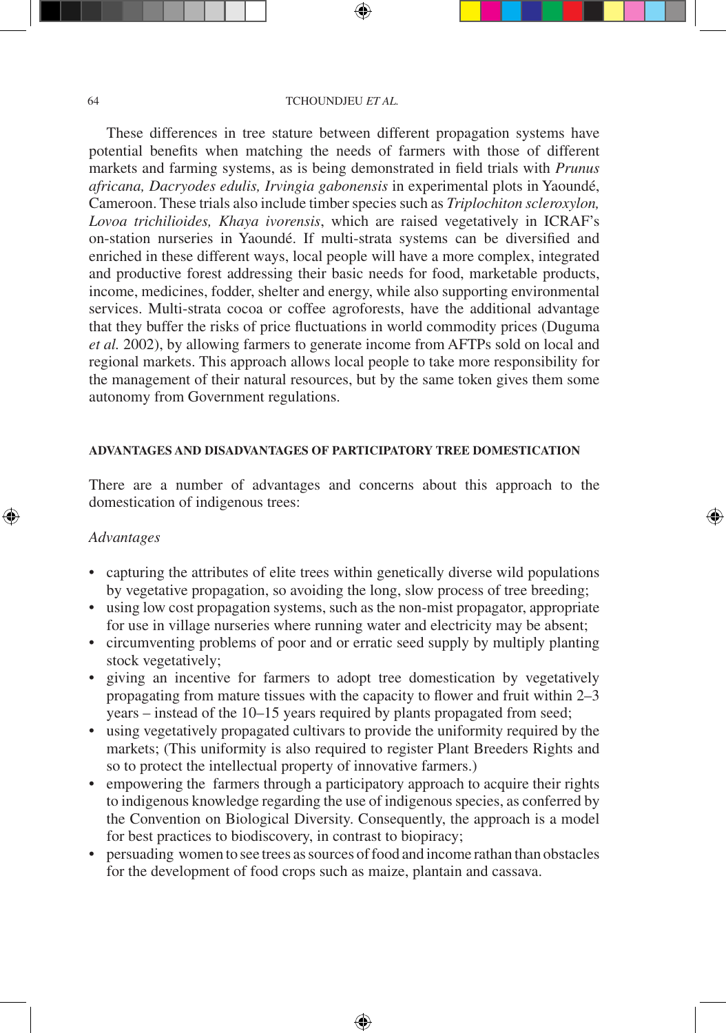These differences in tree stature between different propagation systems have potential benefits when matching the needs of farmers with those of different markets and farming systems, as is being demonstrated in field trials with *Prunus africana, Dacryodes edulis, Irvingia gabonensis* in experimental plots in Yaoundé, Cameroon. These trials also include timber species such as *Triplochiton scleroxylon, Lovoa trichilioides, Khaya ivorensis*, which are raised vegetatively in ICRAF's on-station nurseries in Yaoundé. If multi-strata systems can be diversified and enriched in these different ways, local people will have a more complex, integrated and productive forest addressing their basic needs for food, marketable products, income, medicines, fodder, shelter and energy, while also supporting environmental services. Multi-strata cocoa or coffee agroforests, have the additional advantage that they buffer the risks of price fluctuations in world commodity prices (Duguma *et al.* 2002), by allowing farmers to generate income from AFTPs sold on local and regional markets. This approach allows local people to take more responsibility for the management of their natural resources, but by the same token gives them some autonomy from Government regulations.

## **ADVANTAGES AND DISADVANTAGES OF PARTICIPATORY TREE DOMESTICATION**

There are a number of advantages and concerns about this approach to the domestication of indigenous trees:

⊕

## *Advantages*

⊕

- capturing the attributes of elite trees within genetically diverse wild populations by vegetative propagation, so avoiding the long, slow process of tree breeding;
- using low cost propagation systems, such as the non-mist propagator, appropriate for use in village nurseries where running water and electricity may be absent;
- circumventing problems of poor and or erratic seed supply by multiply planting stock vegetatively;
- giving an incentive for farmers to adopt tree domestication by vegetatively propagating from mature tissues with the capacity to flower and fruit within 2–3 years – instead of the 10–15 years required by plants propagated from seed;
- using vegetatively propagated cultivars to provide the uniformity required by the markets; (This uniformity is also required to register Plant Breeders Rights and so to protect the intellectual property of innovative farmers.)
- empowering the farmers through a participatory approach to acquire their rights to indigenous knowledge regarding the use of indigenous species, as conferred by the Convention on Biological Diversity. Consequently, the approach is a model for best practices to biodiscovery, in contrast to biopiracy;
- persuading women to see trees as sources of food and income rathan than obstacles for the development of food crops such as maize, plantain and cassava.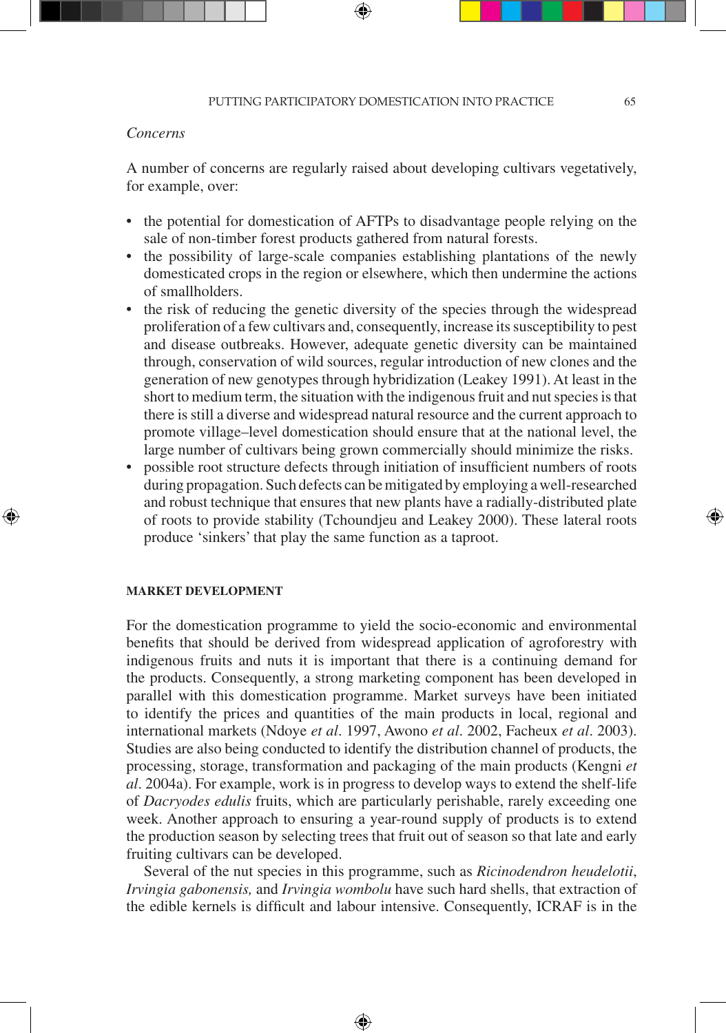## *Concerns*

A number of concerns are regularly raised about developing cultivars vegetatively, for example, over:

- the potential for domestication of AFTPs to disadvantage people relying on the sale of non-timber forest products gathered from natural forests.
- the possibility of large-scale companies establishing plantations of the newly domesticated crops in the region or elsewhere, which then undermine the actions of smallholders.
- the risk of reducing the genetic diversity of the species through the widespread proliferation of a few cultivars and, consequently, increase its susceptibility to pest and disease outbreaks. However, adequate genetic diversity can be maintained through, conservation of wild sources, regular introduction of new clones and the generation of new genotypes through hybridization (Leakey 1991). At least in the short to medium term, the situation with the indigenous fruit and nut species is that there is still a diverse and widespread natural resource and the current approach to promote village–level domestication should ensure that at the national level, the large number of cultivars being grown commercially should minimize the risks.
- possible root structure defects through initiation of insufficient numbers of roots during propagation. Such defects can be mitigated by employing a well-researched and robust technique that ensures that new plants have a radially-distributed plate of roots to provide stability (Tchoundjeu and Leakey 2000). These lateral roots produce 'sinkers' that play the same function as a taproot.

#### **MARKET DEVELOPMENT**

⊕

For the domestication programme to yield the socio-economic and environmental benefits that should be derived from widespread application of agroforestry with indigenous fruits and nuts it is important that there is a continuing demand for the products. Consequently, a strong marketing component has been developed in parallel with this domestication programme. Market surveys have been initiated to identify the prices and quantities of the main products in local, regional and international markets (Ndoye *et al*. 1997, Awono *et al*. 2002, Facheux *et al*. 2003). Studies are also being conducted to identify the distribution channel of products, the processing, storage, transformation and packaging of the main products (Kengni *et al*. 2004a). For example, work is in progress to develop ways to extend the shelf-life of *Dacryodes edulis* fruits, which are particularly perishable, rarely exceeding one week. Another approach to ensuring a year-round supply of products is to extend the production season by selecting trees that fruit out of season so that late and early fruiting cultivars can be developed.

Several of the nut species in this programme, such as *Ricinodendron heudelotii*, *Irvingia gabonensis,* and *Irvingia wombolu* have such hard shells, that extraction of the edible kernels is difficult and labour intensive. Consequently, ICRAF is in the

⊕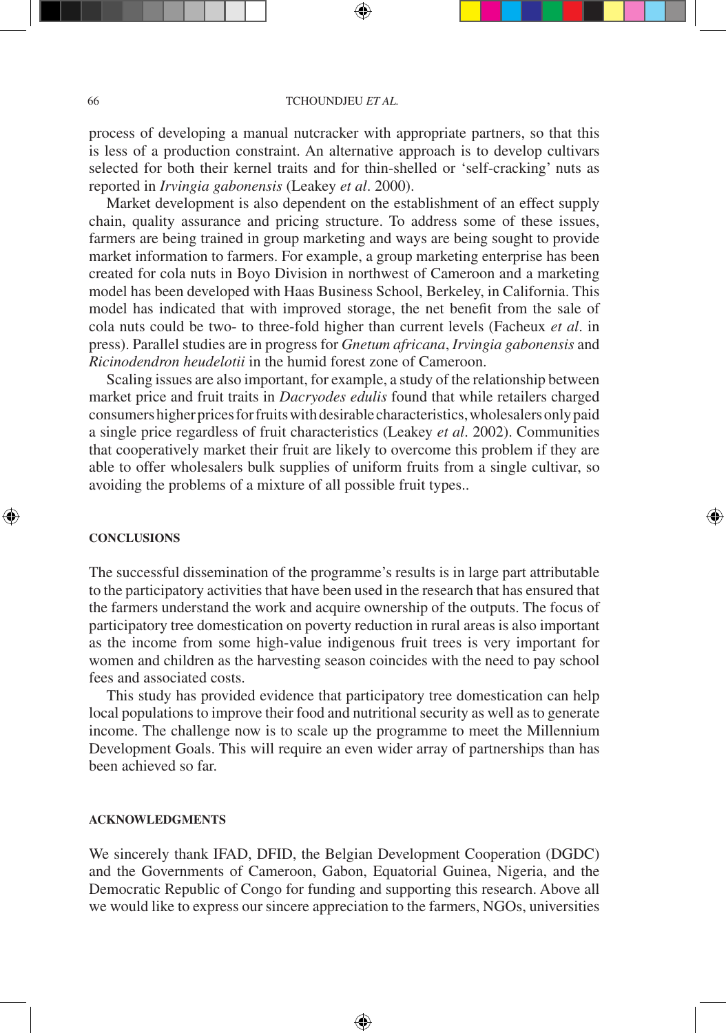process of developing a manual nutcracker with appropriate partners, so that this is less of a production constraint. An alternative approach is to develop cultivars selected for both their kernel traits and for thin-shelled or 'self-cracking' nuts as reported in *Irvingia gabonensis* (Leakey *et al*. 2000).

Market development is also dependent on the establishment of an effect supply chain, quality assurance and pricing structure. To address some of these issues, farmers are being trained in group marketing and ways are being sought to provide market information to farmers. For example, a group marketing enterprise has been created for cola nuts in Boyo Division in northwest of Cameroon and a marketing model has been developed with Haas Business School, Berkeley, in California. This model has indicated that with improved storage, the net benefit from the sale of cola nuts could be two- to three-fold higher than current levels (Facheux *et al*. in press). Parallel studies are in progress for *Gnetum africana*, *Irvingia gabonensis* and *Ricinodendron heudelotii* in the humid forest zone of Cameroon.

Scaling issues are also important, for example, a study of the relationship between market price and fruit traits in *Dacryodes edulis* found that while retailers charged consumers higher prices for fruits with desirable characteristics, wholesalers only paid a single price regardless of fruit characteristics (Leakey *et al*. 2002). Communities that cooperatively market their fruit are likely to overcome this problem if they are able to offer wholesalers bulk supplies of uniform fruits from a single cultivar, so avoiding the problems of a mixture of all possible fruit types..

⊕

#### **CONCLUSIONS**

⊕

The successful dissemination of the programme's results is in large part attributable to the participatory activities that have been used in the research that has ensured that the farmers understand the work and acquire ownership of the outputs. The focus of participatory tree domestication on poverty reduction in rural areas is also important as the income from some high-value indigenous fruit trees is very important for women and children as the harvesting season coincides with the need to pay school fees and associated costs.

This study has provided evidence that participatory tree domestication can help local populations to improve their food and nutritional security as well as to generate income. The challenge now is to scale up the programme to meet the Millennium Development Goals. This will require an even wider array of partnerships than has been achieved so far.

#### **ACKNOWLEDGMENTS**

We sincerely thank IFAD, DFID, the Belgian Development Cooperation (DGDC) and the Governments of Cameroon, Gabon, Equatorial Guinea, Nigeria, and the Democratic Republic of Congo for funding and supporting this research. Above all we would like to express our sincere appreciation to the farmers, NGOs, universities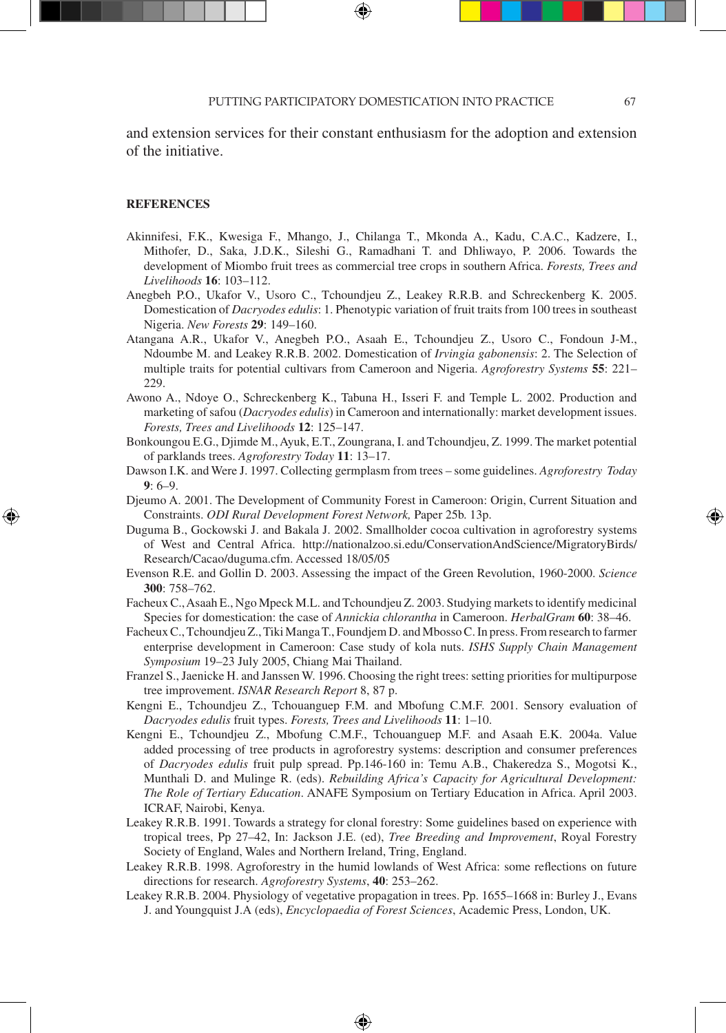and extension services for their constant enthusiasm for the adoption and extension of the initiative.

#### **REFERENCES**

⊕

- Akinnifesi, F.K., Kwesiga F., Mhango, J., Chilanga T., Mkonda A., Kadu, C.A.C., Kadzere, I., Mithofer, D., Saka, J.D.K., Sileshi G., Ramadhani T. and Dhliwayo, P. 2006. Towards the development of Miombo fruit trees as commercial tree crops in southern Africa. *Forests, Trees and Livelihoods* **16**: 103–112.
- Anegbeh P.O., Ukafor V., Usoro C., Tchoundjeu Z., Leakey R.R.B. and Schreckenberg K. 2005. Domestication of *Dacryodes edulis*: 1. Phenotypic variation of fruit traits from 100 trees in southeast Nigeria. *New Forests* **29**: 149–160.
- Atangana A.R., Ukafor V., Anegbeh P.O., Asaah E., Tchoundjeu Z., Usoro C., Fondoun J-M., Ndoumbe M. and Leakey R.R.B. 2002. Domestication of *Irvingia gabonensis*: 2. The Selection of multiple traits for potential cultivars from Cameroon and Nigeria. *Agroforestry Systems* **55**: 221– 229.
- Awono A., Ndoye O., Schreckenberg K., Tabuna H., Isseri F. and Temple L. 2002. Production and marketing of safou (*Dacryodes edulis*) in Cameroon and internationally: market development issues. *Forests, Trees and Livelihoods* **12**: 125–147.
- Bonkoungou E.G., Djimde M., Ayuk, E.T., Zoungrana, I. and Tchoundjeu, Z. 1999. The market potential of parklands trees. *Agroforestry Today* **11**: 13–17.
- Dawson I.K. and Were J. 1997. Collecting germplasm from trees some guidelines. *Agroforestry Today*  **9**: 6–9.
- Djeumo A. 2001. The Development of Community Forest in Cameroon: Origin, Current Situation and Constraints. *ODI Rural Development Forest Network,* Paper 25b. 13p.
- Duguma B., Gockowski J. and Bakala J. 2002. Smallholder cocoa cultivation in agroforestry systems of West and Central Africa. http://nationalzoo.si.edu/ConservationAndScience/MigratoryBirds/ Research/Cacao/duguma.cfm. Accessed 18/05/05
- Evenson R.E. and Gollin D. 2003. Assessing the impact of the Green Revolution, 1960-2000. *Science* **300**: 758–762.
- Facheux C., Asaah E., Ngo Mpeck M.L. and Tchoundjeu Z. 2003. Studying markets to identify medicinal Species for domestication: the case of *Annickia chlorantha* in Cameroon. *HerbalGram* **60**: 38–46.
- Facheux C., Tchoundjeu Z., Tiki Manga T., Foundjem D. and Mbosso C. In press. From research to farmer enterprise development in Cameroon: Case study of kola nuts. *ISHS Supply Chain Management Symposium* 19–23 July 2005, Chiang Mai Thailand.
- Franzel S., Jaenicke H. and Janssen W. 1996. Choosing the right trees: setting priorities for multipurpose tree improvement. *ISNAR Research Report* 8, 87 p.
- Kengni E., Tchoundjeu Z., Tchouanguep F.M. and Mbofung C.M.F. 2001. Sensory evaluation of *Dacryodes edulis* fruit types. *Forests, Trees and Livelihoods* **11**: 1–10.
- Kengni E., Tchoundjeu Z., Mbofung C.M.F., Tchouanguep M.F. and Asaah E.K. 2004a. Value added processing of tree products in agroforestry systems: description and consumer preferences of *Dacryodes edulis* fruit pulp spread. Pp.146-160 in: Temu A.B., Chakeredza S., Mogotsi K., Munthali D. and Mulinge R. (eds). *Rebuilding Africa's Capacity for Agricultural Development: The Role of Tertiary Education*. ANAFE Symposium on Tertiary Education in Africa. April 2003. ICRAF, Nairobi, Kenya.
- Leakey R.R.B. 1991. Towards a strategy for clonal forestry: Some guidelines based on experience with tropical trees, Pp 27–42, In: Jackson J.E. (ed), *Tree Breeding and Improvement*, Royal Forestry Society of England, Wales and Northern Ireland, Tring, England.
- Leakey R.R.B. 1998. Agroforestry in the humid lowlands of West Africa: some reflections on future directions for research. *Agroforestry Systems*, **40**: 253–262.
- Leakey R.R.B. 2004. Physiology of vegetative propagation in trees. Pp. 1655–1668 in: Burley J., Evans J. and Youngquist J.A (eds), *Encyclopaedia of Forest Sciences*, Academic Press, London, UK.

⊕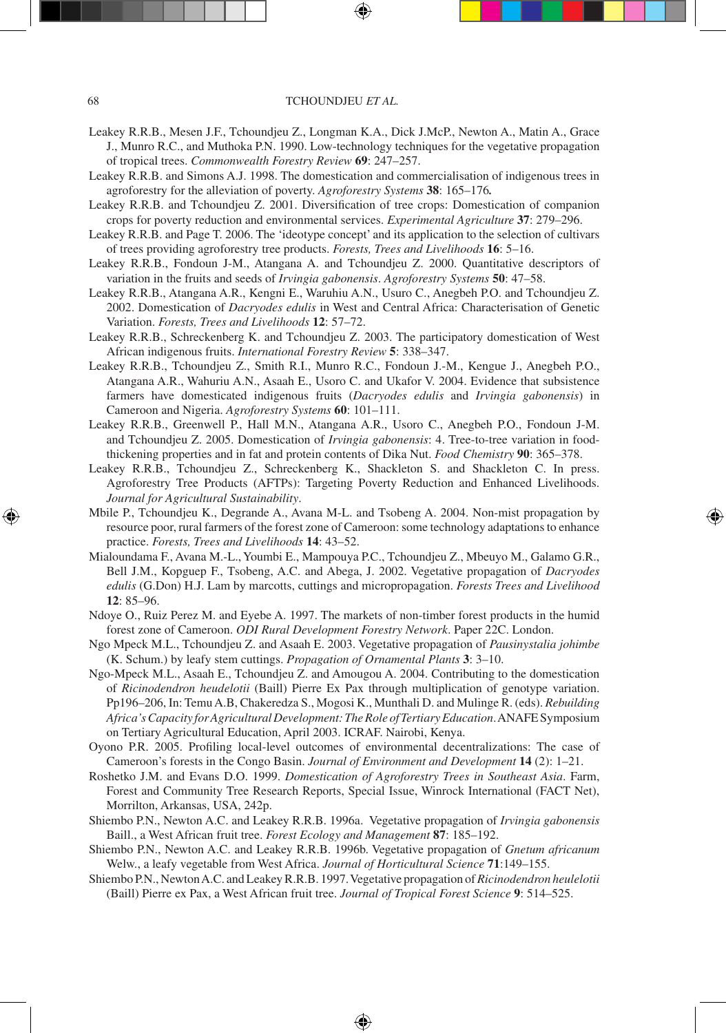- Leakey R.R.B., Mesen J.F., Tchoundjeu Z., Longman K.A., Dick J.McP., Newton A., Matin A., Grace J., Munro R.C., and Muthoka P.N. 1990. Low-technology techniques for the vegetative propagation of tropical trees. *Commonwealth Forestry Review* **69**: 247–257.
- Leakey R.R.B. and Simons A.J. 1998. The domestication and commercialisation of indigenous trees in agroforestry for the alleviation of poverty. *Agroforestry Systems* **38**: 165–176*.*
- Leakey R.R.B. and Tchoundjeu Z. 2001. Diversification of tree crops: Domestication of companion crops for poverty reduction and environmental services. *Experimental Agriculture* **37**: 279–296.
- Leakey R.R.B. and Page T. 2006. The 'ideotype concept' and its application to the selection of cultivars of trees providing agroforestry tree products. *Forests, Trees and Livelihoods* **16**: 5–16.
- Leakey R.R.B., Fondoun J-M., Atangana A. and Tchoundjeu Z. 2000. Quantitative descriptors of variation in the fruits and seeds of *Irvingia gabonensis*. *Agroforestry Systems* **50**: 47–58.
- Leakey R.R.B., Atangana A.R., Kengni E., Waruhiu A.N., Usuro C., Anegbeh P.O. and Tchoundjeu Z. 2002. Domestication of *Dacryodes edulis* in West and Central Africa: Characterisation of Genetic Variation. *Forests, Trees and Livelihoods* **12**: 57–72.
- Leakey R.R.B., Schreckenberg K. and Tchoundjeu Z. 2003. The participatory domestication of West African indigenous fruits. *International Forestry Review* **5**: 338–347.
- Leakey R.R.B., Tchoundjeu Z., Smith R.I., Munro R.C., Fondoun J.-M., Kengue J., Anegbeh P.O., Atangana A.R., Wahuriu A.N., Asaah E., Usoro C. and Ukafor V. 2004. Evidence that subsistence farmers have domesticated indigenous fruits (*Dacryodes edulis* and *Irvingia gabonensis*) in Cameroon and Nigeria. *Agroforestry Systems* **60**: 101–111.
- Leakey R.R.B., Greenwell P., Hall M.N., Atangana A.R., Usoro C., Anegbeh P.O., Fondoun J-M. and Tchoundjeu Z. 2005. Domestication of *Irvingia gabonensis*: 4. Tree-to-tree variation in foodthickening properties and in fat and protein contents of Dika Nut. *Food Chemistry* **90**: 365–378.
- Leakey R.R.B., Tchoundjeu Z., Schreckenberg K., Shackleton S. and Shackleton C. In press. Agroforestry Tree Products (AFTPs): Targeting Poverty Reduction and Enhanced Livelihoods. *Journal for Agricultural Sustainability*.
- Mbile P., Tchoundjeu K., Degrande A., Avana M-L. and Tsobeng A. 2004. Non-mist propagation by resource poor, rural farmers of the forest zone of Cameroon: some technology adaptations to enhance practice. *Forests, Trees and Livelihoods* **14**: 43–52.

⊕

- Mialoundama F., Avana M.-L., Youmbi E., Mampouya P.C., Tchoundjeu Z., Mbeuyo M., Galamo G.R., Bell J.M., Kopguep F., Tsobeng, A.C. and Abega, J. 2002. Vegetative propagation of *Dacryodes edulis* (G.Don) H.J. Lam by marcotts, cuttings and micropropagation. *Forests Trees and Livelihood*  **12**: 85–96.
- Ndoye O., Ruiz Perez M. and Eyebe A. 1997. The markets of non-timber forest products in the humid forest zone of Cameroon. *ODI Rural Development Forestry Network*. Paper 22C. London.
- Ngo Mpeck M.L., Tchoundjeu Z. and Asaah E. 2003. Vegetative propagation of *Pausinystalia johimbe* (K. Schum.) by leafy stem cuttings. *Propagation of Ornamental Plants* **3**: 3–10.
- Ngo-Mpeck M.L., Asaah E., Tchoundjeu Z. and Amougou A. 2004. Contributing to the domestication of *Ricinodendron heudelotii* (Baill) Pierre Ex Pax through multiplication of genotype variation. Pp196–206, In: Temu A.B, Chakeredza S., Mogosi K., Munthali D. and Mulinge R. (eds). *Rebuilding Africa's Capacity for Agricultural Development: The Role of Tertiary Education*. ANAFE Symposium on Tertiary Agricultural Education, April 2003. ICRAF. Nairobi, Kenya.
- Oyono P.R. 2005. Profiling local-level outcomes of environmental decentralizations: The case of Cameroon's forests in the Congo Basin. *Journal of Environment and Development* **14** (2): 1–21.
- Roshetko J.M. and Evans D.O. 1999. *Domestication of Agroforestry Trees in Southeast Asia*. Farm, Forest and Community Tree Research Reports, Special Issue, Winrock International (FACT Net), Morrilton, Arkansas, USA, 242p.
- Shiembo P.N., Newton A.C. and Leakey R.R.B. 1996a. Vegetative propagation of *Irvingia gabonensis* Baill., a West African fruit tree. *Forest Ecology and Management* **87**: 185–192.
- Shiembo P.N., Newton A.C. and Leakey R.R.B. 1996b. Vegetative propagation of *Gnetum africanum*  Welw., a leafy vegetable from West Africa. *Journal of Horticultural Science* **71**:149–155.
- Shiembo P.N., Newton A.C. and Leakey R.R.B. 1997. Vegetative propagation of *Ricinodendron heulelotii* (Baill) Pierre ex Pax, a West African fruit tree. *Journal of Tropical Forest Science* **9**: 514–525.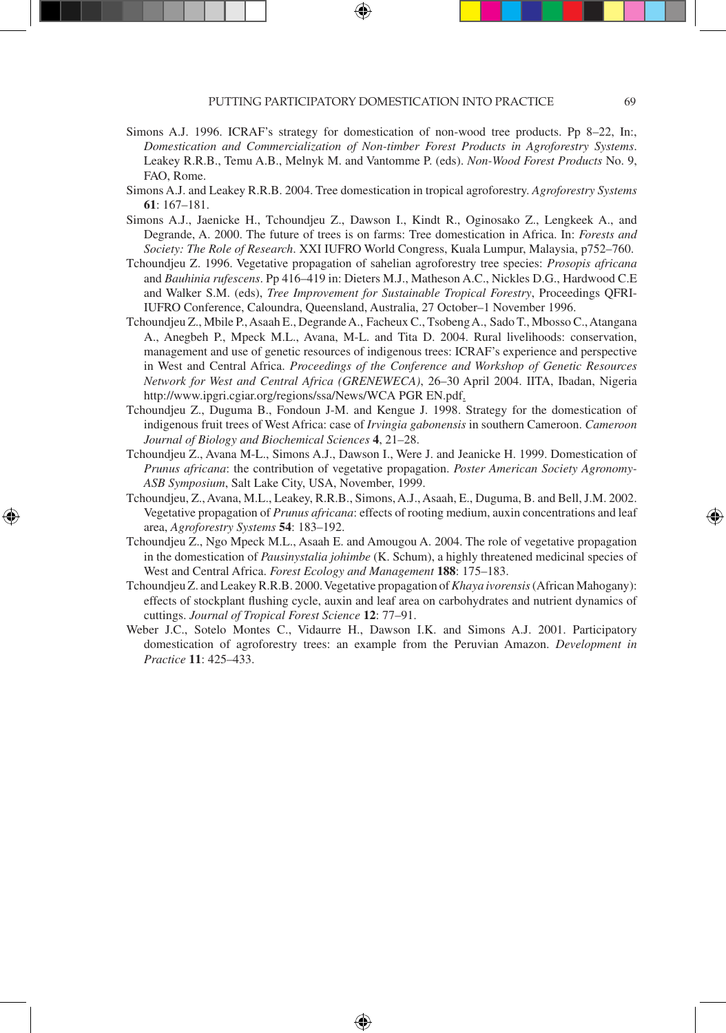- Simons A.J. 1996. ICRAF's strategy for domestication of non-wood tree products. Pp 8–22, In:, *Domestication and Commercialization of Non-timber Forest Products in Agroforestry Systems*. Leakey R.R.B., Temu A.B., Melnyk M. and Vantomme P. (eds). *Non-Wood Forest Products* No. 9, FAO, Rome.
- Simons A.J. and Leakey R.R.B. 2004. Tree domestication in tropical agroforestry. *Agroforestry Systems* **61**: 167–181.
- Simons A.J., Jaenicke H., Tchoundjeu Z., Dawson I., Kindt R., Oginosako Z., Lengkeek A., and Degrande, A. 2000. The future of trees is on farms: Tree domestication in Africa. In: *Forests and Society: The Role of Research*. XXI IUFRO World Congress, Kuala Lumpur, Malaysia, p752–760.
- Tchoundjeu Z. 1996. Vegetative propagation of sahelian agroforestry tree species: *Prosopis africana* and *Bauhinia rufescens*. Pp 416–419 in: Dieters M.J., Matheson A.C., Nickles D.G., Hardwood C.E and Walker S.M. (eds), *Tree Improvement for Sustainable Tropical Forestry*, Proceedings QFRI-IUFRO Conference, Caloundra, Queensland, Australia, 27 October–1 November 1996.
- Tchoundjeu Z., Mbile P., Asaah E., Degrande A., Facheux C., Tsobeng A., Sado T., Mbosso C., Atangana A., Anegbeh P., Mpeck M.L., Avana, M-L. and Tita D. 2004. Rural livelihoods: conservation, management and use of genetic resources of indigenous trees: ICRAF's experience and perspective in West and Central Africa. *Proceedings of the Conference and Workshop of Genetic Resources Network for West and Central Africa (GRENEWECA)*, 26–30 April 2004. IITA, Ibadan, Nigeria http://www.ipgri.cgiar.org/regions/ssa/News/WCA PGR EN.pdf.
- Tchoundjeu Z., Duguma B., Fondoun J-M. and Kengue J. 1998. Strategy for the domestication of indigenous fruit trees of West Africa: case of *Irvingia gabonensis* in southern Cameroon. *Cameroon Journal of Biology and Biochemical Sciences* **4**, 21–28.
- Tchoundjeu Z., Avana M-L., Simons A.J., Dawson I., Were J. and Jeanicke H. 1999. Domestication of *Prunus africana*: the contribution of vegetative propagation. *Poster American Society Agronomy-ASB Symposium*, Salt Lake City, USA, November, 1999.
- Tchoundjeu, Z., Avana, M.L., Leakey, R.R.B., Simons, A.J., Asaah, E., Duguma, B. and Bell, J.M. 2002. Vegetative propagation of *Prunus africana*: effects of rooting medium, auxin concentrations and leaf area, *Agroforestry Systems* **54**: 183–192.

⊕

- Tchoundjeu Z., Ngo Mpeck M.L., Asaah E. and Amougou A. 2004. The role of vegetative propagation in the domestication of *Pausinystalia johimbe* (K. Schum), a highly threatened medicinal species of West and Central Africa. *Forest Ecology and Management* **188**: 175–183.
- Tchoundjeu Z. and Leakey R.R.B. 2000. Vegetative propagation of *Khaya ivorensis* (African Mahogany): effects of stockplant flushing cycle, auxin and leaf area on carbohydrates and nutrient dynamics of cuttings. *Journal of Tropical Forest Science* **12**: 77–91.
- Weber J.C., Sotelo Montes C., Vidaurre H., Dawson I.K. and Simons A.J. 2001. Participatory domestication of agroforestry trees: an example from the Peruvian Amazon. *Development in Practice* **11**: 425–433.

⊕